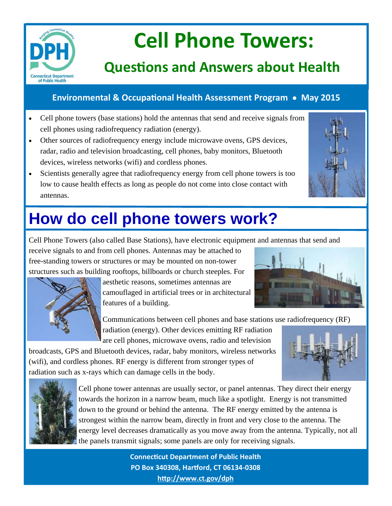

# **Cell Phone Towers:**

## **QuesƟons and Answers about Health**

### **Environmental & OccupaƟonal Health Assessment Program May 2015**

- Cell phone towers (base stations) hold the antennas that send and receive signals from cell phones using radiofrequency radiation (energy).
- Other sources of radiofrequency energy include microwave ovens, GPS devices, radar, radio and television broadcasting, cell phones, baby monitors, Bluetooth devices, wireless networks (wifi) and cordless phones.
- Scientists generally agree that radiofrequency energy from cell phone towers is too low to cause health effects as long as people do not come into close contact with antennas.



# **How do cell phone towers work?**

Cell Phone Towers (also called Base Stations), have electronic equipment and antennas that send and

receive signals to and from cell phones. Antennas may be attached to free-standing towers or structures or may be mounted on non-tower structures such as building rooftops, billboards or church steeples. For



aesthetic reasons, sometimes antennas are camouflaged in artificial trees or in architectural features of a building.

Communications between cell phones and base stations use radiofrequency (RF)

radiation (energy). Other devices emitting RF radiation are cell phones, microwave ovens, radio and television

broadcasts, GPS and Bluetooth devices, radar, baby monitors, wireless networks (wifi), and cordless phones. RF energy is different from stronger types of radiation such as x-rays which can damage cells in the body.





Cell phone tower antennas are usually sector, or panel antennas. They direct their energy towards the horizon in a narrow beam, much like a spotlight. Energy is not transmitted down to the ground or behind the antenna. The RF energy emitted by the antenna is strongest within the narrow beam, directly in front and very close to the antenna. The energy level decreases dramatically as you move away from the antenna. Typically, not all the panels transmit signals; some panels are only for receiving signals.

> **ConnecƟcut Department of Public Health PO Box 340308, Harƞord, CT 06134‐0308 hƩp://www.ct.gov/dph**